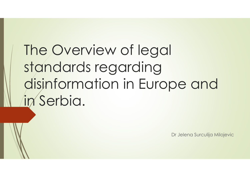### The Overview of legal standards regarding disinformation in Europe and in Serbia. De and<br>Dr Jelena Surculija Milojevic<br>Dr Jelena Surculija Milojevic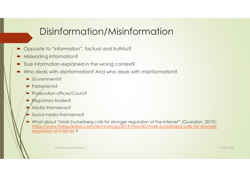#### Disinformation/Misinformation

- Opposite to "information", factual and truthful?
- **Misleading information?**
- $\blacksquare$  True information explained in the wrong context?
- Who deals with disinformation? And who deals with misinformation?
	- Governments?
	- Parliaments?
	- Prosecution offices/Courts?
	- **Regulatory bodies?**
	- Media themselves?
	- Social media themselves?
- 9)<br>
Misleading information?<br>
Misleading information?<br>
Who deals with disinformation?<br>
Mo deals with disinformation?<br>
And who deals with misinformation?<br>
About "Mark Zuckerberg"<br>
Pergecution offices/Courls?<br>
Pergecution off https://www.theguardian.com/technology/2019/mar/30/mark-zuckerberg-calls-for-strongerregulation-of-internet ?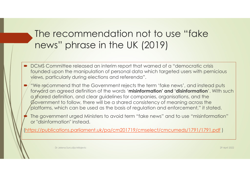## The recommendation not to use "fake news" phrase in the UK (2019) The recommendation not to use "fake<br>news" phrase in the UK (2019)<br>• DCMS Committee released an interim report that warned of a "democratic crisis<br>founded upon the manipulation of personal data which targeted users with per

- founded upon the manipulation of personal data which targeted users with pernicious views, particularly during elections and referenda".
- "We recommend that the Government rejects the term 'fake news', and instead puts forward an agreed definition of the words 'misinformation' and 'disinformation'. With such a shared definition, and clear guidelines for companies, organisations, and the Government to follow, there will be a shared consistency of meaning across the platforms, which can be used as the basis of regulation and enforcement," it stated. The government of elliptical considers to avoid term "fake news" and to use "misinformation" (when the manipulation of personal data witch targeted users with perincious views, particularly during elections and referenda<sup>n</sup>
- or "disinformation" instead.

(https://publications.parliament.uk/pa/cm201719/cmselect/cmcumeds/1791/1791.pdf )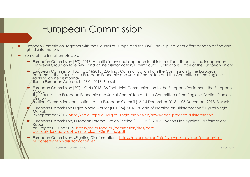#### European Commission

- European Commission, together with the Council of Europe and the OSCE have put a lot of effort trying to define and fight disinformation:
- Some of the first attempts were:
	- High level Group on fake news and online disinformation, Luxembourg: Publications Office of the European Union;
- European Commission, together with the Council of Europe and the OSCE have put a lot of effort trying to define and<br>ght disintermation;<br>ame of the first attempts were:<br>Furopean Commission [EC], 2018, A multi-dimensional ap • European Commission [EC], COM(2018) 236 final, Communication from the Commission to the European<br>Parliament, the Council, the European Economic and Social Committee and the Committee of the Regions:<br>Tackling online disin

 European Commission [EC], JOIN (2018) 36 final, Joint Communication to the European Parliament, the European Council. the Council, the European Economic and Social Committee and the Committee of the Regions: "Action Plan on disinfor-

mation: Commission contribution to the European Council (13–14 December 2018)." 05 December 2018, Brussels.

 European Commission Digital Single Market (ECDSM). 2018. "Code of Practice on Disinformation." Digital Single Market.

26 September 2018. https://ec.europa.eu/digital-single-market/en/news/code-practice-disinformation

 European Commission, European External Action Service (EC EEAS). 2019. "Action Plan Against Disinformation: Report

on Progress." June 2019. https://ec.europa.eu/commission/sites/betapolitical/files/factsheet\_disinfo\_elex\_140619\_final.pdf

■ European Commission, "Fighting Disinformation", https://ec.europa.eu/info/live-work-travel-eu/coronavirusresponse/fighting-disinformation\_en

.......................... Dr Jelena Surculija Milojevic 29 April 2022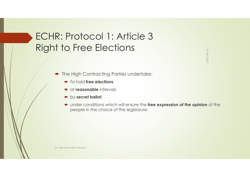#### ECHR: Protocol 1: Article 3 Right to Free Elections

- **The High Contracting Parties undertake:** 
	- $\blacksquare$  To hold free elections
	- $\bullet$  at reasonable intervals
	- $\rightarrow$  by secret ballot,
- under conditions which will ensure the free expression of the opinion of the PEO CEO CHOTTS<br>
High Contracting Parties undertake:<br>
To hold **free elections**<br>
at **reasonable** intervals<br>
by **secret ballot**,<br>
under conditions which will ensure the **free expression of the opinion** of the<br>
people in the c

Dr Jelena Surculija Milojevic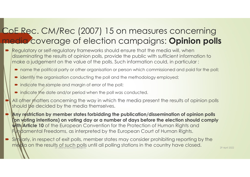### CoE Rec. CM/Rec (2007) 15 on measures concerning<br>
media coverage of election campaigns: **Opinion polls**<br>
Fixed and one of the could on transports should ensure that the media will, when media coverage of election campaigns: Opinion polls **PE Rec. CM/Rec (2007) 15 on measures concerning**<br> **PE Rec. CM/Rec (2007) 15 on measures concerning**<br> **Regulatory or self-regulatory frameworks should ensure that the media will, when**<br>
disseminating the results of opinion **FRec. CM/Rec (2007) 15 on measures concerning**<br> **aid** Coverage of election campaigns: **Opinion polls**<br>
regulatory or self-regulatory frameworks should ensure that the media will, when<br>
disseminating the results of opinion F Rec. CM/Rec (2007) 15 on measures concern<br>
dia coverage of election campaigns: **Opinion**<br>
regulatory or self-regulatory frameworks should ensure that the media will, when<br>
disseminating the results of opinion polls, prov

- Regulatory or self-regulatory frameworks should ensure that the media will, when disseminating the results of opinion polls, provide the public with sufficient information to
	-
	-
	- indicate the sample and margin of error of the poll;
	- $\blacksquare$  indicate the date and/or period when the poll was conducted.
	- All other matters concerning the way in which the media present the results of opinion polls should be decided by the media themselves.
	- Any restriction by member states forbidding the publication/dissemination of opinion polls (on voting intentions) on voting day or a number of days before the election should comply With/Article 10 of the European Convention for the Protection of Human Rights and Fundamental Freedoms, as interpreted by the European Court of Human Rights.
- Similarly, in respect of exit polls, member states may consider prohibiting reporting by the media on the results of such polls until all polling stations in the country have closed. 29 April 2022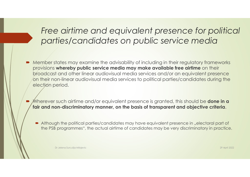#### Free airtime and equivalent presence for political parties/candidates on public service media

- **Member states may examine the advisability of including in their regulatory frameworks** provisions whereby public service media may make available free airtime on their broadcast and other linear audiovisual media services and/or an equivalent presence on their non-linear audiovisual media services to political parties/candidates during the election period.
	- Wherever such airtime and/or equivalent presence is granted, this should be **done in a** fair and non-discriminatory manner, on the basis of transparent and objective criteria.
		- Although the political parties/candidates may have equivalent presence in "electoral part of the PSB programmes", the actual airtime of candidates may be very discriminatory in practice.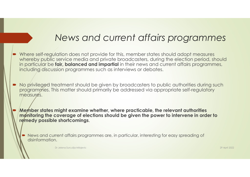#### News and current affairs programmes

- Where self-regulation does not provide for this, member states should adopt measures whereby public service media and private broadcasters, during the election period, should in particular be fair, balanced and impartial in their news and current affairs programmes, including discussion programmes such as interviews or debates.<br>
News and current affairs progression dependence whereby public service media and private broadcasters, during the election<br>
in particular be **fair, balanced a**
- No privileged treatment should be given by broadcasters to public authorities during such programmes. This matter should primarily be addressed via appropriate self-regulatory measures.
	- Member states might examine whether, where practicable, the relevant authorities monitoring the coverage of elections should be given the power to intervene in order to remedy possible shortcomings.
		- News and current affairs programmes are, in particular, interesting for easy spreading of disinformation.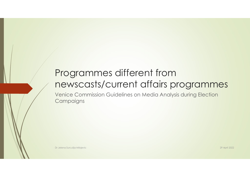# Programmes different from<br>newscasts/current affairs programments<br>and consider a sideling an testing from Election newscasts/current affairs programmes

Venice Commission Guidelines on Media Analysis during Election **Campaigns**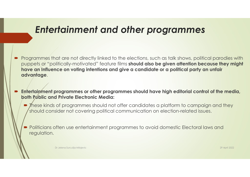#### Entertainment and other programmes

- **Enferfainment and other programmes<br>Programmes that are not directly linked to the elections, such as talk shows, political parodies with<br>puppets or "politically-motivated" feature films should also be given attention beca** puppets or "politically-motivated" feature films should also be given attention because they might have an Influence on voting intentions and give a candidate or a political party an unfair advantage. Entertainment and other programmes<br>
Programmes that are not directly linked to the elections, such as talk shows, political parodies with<br>
puppets or "politically-motivated" feature films should also be given aftention bec **Entertainment and other programs**<br>Programmes that are not directly linked to the elections, such as to<br>puppets or "politically-motivated" feature films should also be give<br>have an Influence on voting intentions and give a ENTEITICHT CHRET CHRET CHRET CHRET CHRET CONTROLL TO THE TRET CONTROLL TO THE TRET CONTROLL TO THE TRET CONTROLL TO THE TRET OF THE TRET OF THE TRET OF THE TRET CHRET CHRET CHRET CHRET CHRET CHRET CHRET CHRET CHRET CHRET C
- - should consider not covering political communication on election-related issues.
	- Politicians often use entertainment programmes to avoid domestic Electoral laws and regulation.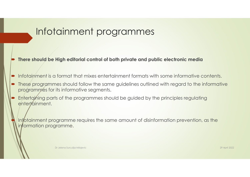#### Infotainment programmes

- There should be High editorial control of both private and public electronic media
- Infotainment is a format that mixes entertainment formats with some informative contents.
- These programmes should follow the same guidelines outlined by the principles regarding<br>
These programmes should follow the same guidelines outlined with regard to the informative<br>
Firese programmes should follow the same Entertainment programmes<br>
Final parts of the private and public electronic media<br>
Final parts of the private intertainment formats with some informative contents.<br>
Final programmes should follow the same guidelines outline
- Infotainment programment<br>
There should be High editorial control of both private and<br>
Infotainment is a format that mixes entertainment format<br>
These programmes should follow the same guidelines ou<br>
Entertaining parts of t entertainment.

 Infotainment programme requires the same amount of disinformation prevention, as the information programme.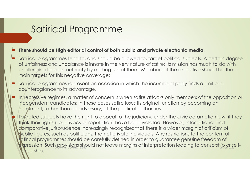#### Satirical Programme

#### There should be High editorial control of both public and private electronic media.

- Satirical Programmes<br>
There should be High editorial control of both public and private electronic media.<br>
Statirical programmes tend to, and should be allowed to, target political subjects. A certain degree<br>
of unfairmess of unfairness and unbalance is innate in the very nature of satire: its mission has much to do with challenging those in authority by making fun of them. Members of the executive should be the main targets for this negative coverage; Satirical Programme<br>
Satirical programmes feed to the profession in which the distribution is and the included by the interest and the incumbent of statical subjects. A certain degree<br>
of unfariess and unhalonce is inner t
- counterbalance to its advantage.
- In repressive regimes, a matter of concern is when satire attacks only members of the opposition or independent candidates; in these cases satire loses its original function by becoming an instreat, rather than an adversary, of the political authorities.
- Targeted subjects have the right to appeal to the judiciary, under the civic defamation law, if they think their rights (i.e. privacy or reputation) have been violated. However, international and The shown of my endoted and to complete that provide the complete that the difficulation of the complete informers of understanding those in cuthority by making fun of them. Members of the executive should be the main targ public figures, such as politicians, than of private individuals. Any restrictions to the content of of unfairness and unbalance is innate in the very nature of satire: its mission has much to do with<br>challenging those in authority by making fun of them. Members of the executive should be the<br>main targets for this negativ expression. Such provisions should not leave margins of interpretation leading to censorship or selfcensorship.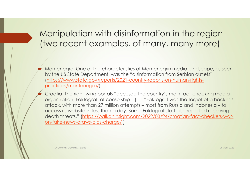# Manipulation with disinformation in the region Manipulation with disinformation in the region<br>(two recent examples, of many, many more)

- Montenegro: One of the characteristics of Montenegrin media landscape, as seen by the US State Department, was the "disinformation from Serbian outlets" (https://www.state.gov/reports/2021-country-reports-on-human-rightspractices/montenegro/);
- Croatia: The right-wing portals "accused the country's main fact-checking media **Aanipulation with disinformation in the region<br>wo recent examples, of many, many more)**<br>Montenegro: One of the characteristics of Montenegrin media landscape, as seen<br>by the US State Department, was the "disinformation fr Manipulation with disinformation in the region<br>wo recent examples, of many, many more)<br>Montenegro: One of the characteristics of Montenegrin media landscape, as seen<br>by the US State Department, was the "disinformation from NOT IDUCTIONT WITH CHSIFTHOTMONT ITT THE TEGJIOTT<br>WO FECENT EXAMPLES, OF MANY, MANY MOTE)<br>Montenegro: One of the characteristics of Montenegrin media landscape, as seen<br>by the US State Department, was the "disinformation f death threats." (https://balkaninsight.com/2022/03/24/croatian-fact-checkers-waron-fake-news-draws-bias-charge/ )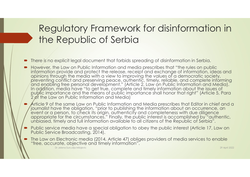#### Regulatory Framework for disinformation in the Republic of Serbia

- There is no explicit legal document that forbids spreading of disinformation in Serbia.
- However, the Law on Public Information and media prescribes that "the rules on public<br>information provide and protect the release, receipt and exchange of information, ideas and information provide and protect the release, receipt and exchange of information, ideas and<br>opinions through the media with a view to improving the values of a democratic society,<br>preventing conflict and preserving peace, In addition, media have "to get true, complete and timely information about the issues of<br>public importance and the means of public importance shall honor that right" (Article 5, Para<br>2 of the Law on Public Information and The Republic of Serbia<br>
The Republic of Serbia<br>
There is no explicit legal document that forbids spreading of disinformation in Serbia.<br>
However, the Law on Public Information and media prescribes that "the rules on public
- Article 9 of the same Law on Public Information and Media prescribes that Editor in chief and a<br>journalist have the obligation, "prior to publishing the information about an occurrence, an<br>event or a person, to check its o appropriate for the circumstances." Finally, the public interest is accomplished by "authentic, unbiased, timely and full information available to all citizens of the Republic of Serbia".
- Public service media have a special obligation to obey the public interest (Article 17, Law on Public Service Broadcasting, 2014).
- The Law on Electronic media (2014, Article 47) obliges providers of media services to enable "free, accurate, objective and timely information".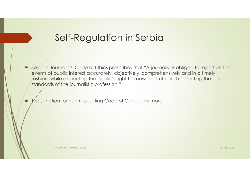#### Self-Regulation in Serbia

 Serbian Journalists' Code of Ethics prescribes that "A journalist is obliged to report on the events of public interest accurately, objectively, comprehensively and in a timely fashion, while respecting the public's right to know the truth and respecting the basic standards of the journalistic profession."

• The sanction for non-respecting Code of Conduct is moral.